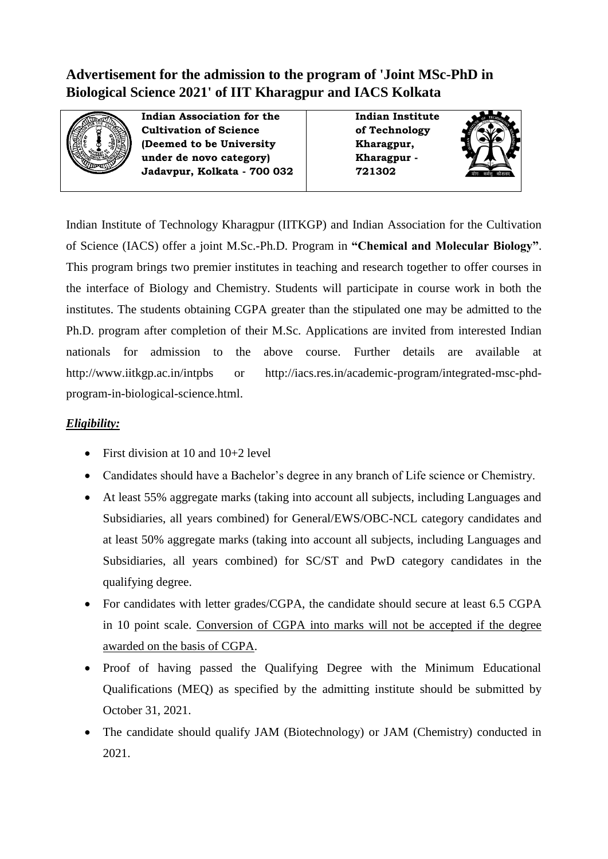# **Advertisement for the admission to the program of 'Joint MSc-PhD in Biological Science 2021' of IIT Kharagpur and IACS Kolkata**



**Indian Association for the Cultivation of Science (Deemed to be University under de novo category) Jadavpur, Kolkata - 700 032**

**Indian Institute of Technology Kharagpur, Kharagpur - 721302**



Indian Institute of Technology Kharagpur (IITKGP) and Indian Association for the Cultivation of Science (IACS) offer a joint M.Sc.-Ph.D. Program in **"Chemical and Molecular Biology"**. This program brings two premier institutes in teaching and research together to offer courses in the interface of Biology and Chemistry. Students will participate in course work in both the institutes. The students obtaining CGPA greater than the stipulated one may be admitted to the Ph.D. program after completion of their M.Sc. Applications are invited from interested Indian nationals for admission to the above course. Further details are available at http://www.iitkgp.ac.in/intpbs or http://iacs.res.in/academic-program/integrated-msc-phdprogram-in-biological-science.html.

## *Eligibility:*

- First division at 10 and  $10+2$  level
- Candidates should have a Bachelor's degree in any branch of Life science or Chemistry.
- At least 55% aggregate marks (taking into account all subjects, including Languages and Subsidiaries, all years combined) for General/EWS/OBC-NCL category candidates and at least 50% aggregate marks (taking into account all subjects, including Languages and Subsidiaries, all years combined) for SC/ST and PwD category candidates in the qualifying degree.
- For candidates with letter grades/CGPA, the candidate should secure at least 6.5 CGPA in 10 point scale. Conversion of CGPA into marks will not be accepted if the degree awarded on the basis of CGPA.
- Proof of having passed the Qualifying Degree with the Minimum Educational Qualifications (MEQ) as specified by the admitting institute should be submitted by October 31, 2021.
- The candidate should qualify JAM (Biotechnology) or JAM (Chemistry) conducted in 2021.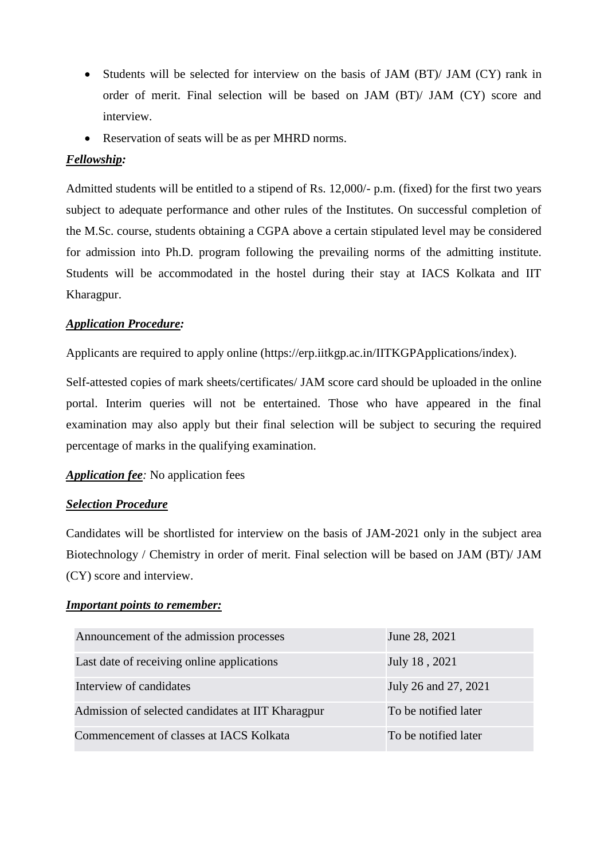- Students will be selected for interview on the basis of JAM (BT)/ JAM (CY) rank in order of merit. Final selection will be based on JAM (BT)/ JAM (CY) score and interview.
- Reservation of seats will be as per MHRD norms.

### *Fellowship:*

Admitted students will be entitled to a stipend of Rs. 12,000/- p.m. (fixed) for the first two years subject to adequate performance and other rules of the Institutes. On successful completion of the M.Sc. course, students obtaining a CGPA above a certain stipulated level may be considered for admission into Ph.D. program following the prevailing norms of the admitting institute. Students will be accommodated in the hostel during their stay at IACS Kolkata and IIT Kharagpur.

#### *Application Procedure:*

Applicants are required to apply online (https://erp.iitkgp.ac.in/IITKGPApplications/index).

Self-attested copies of mark sheets/certificates/ JAM score card should be uploaded in the online portal. Interim queries will not be entertained. Those who have appeared in the final examination may also apply but their final selection will be subject to securing the required percentage of marks in the qualifying examination.

#### *Application fee:* No application fees

#### *Selection Procedure*

Candidates will be shortlisted for interview on the basis of JAM-2021 only in the subject area Biotechnology / Chemistry in order of merit. Final selection will be based on JAM (BT)/ JAM (CY) score and interview.

#### *Important points to remember:*

| Announcement of the admission processes           | June 28, 2021        |
|---------------------------------------------------|----------------------|
| Last date of receiving online applications        | July 18, 2021        |
| Interview of candidates                           | July 26 and 27, 2021 |
| Admission of selected candidates at IIT Kharagpur | To be notified later |
| Commencement of classes at IACS Kolkata           | To be notified later |